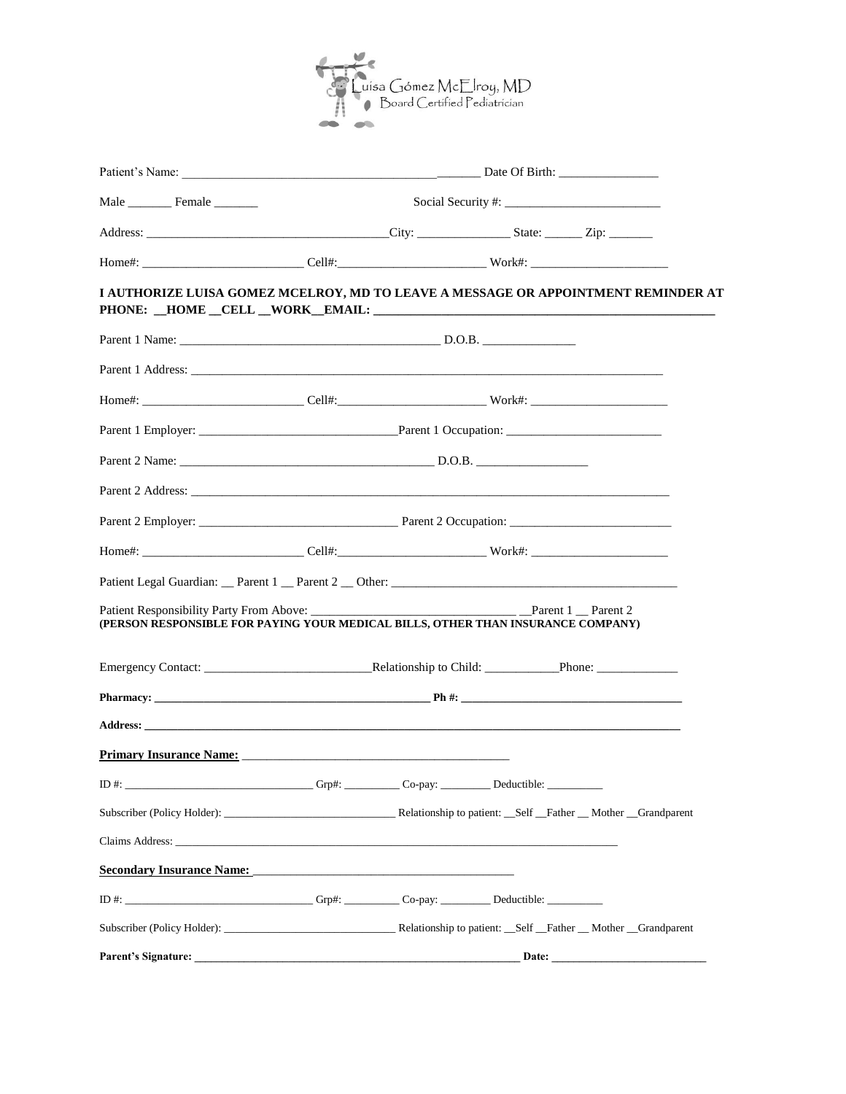

|                                                                                                                                                                                                                                | Social Security #: |       |  |
|--------------------------------------------------------------------------------------------------------------------------------------------------------------------------------------------------------------------------------|--------------------|-------|--|
|                                                                                                                                                                                                                                |                    |       |  |
|                                                                                                                                                                                                                                |                    |       |  |
| I AUTHORIZE LUISA GOMEZ MCELROY, MD TO LEAVE A MESSAGE OR APPOINTMENT REMINDER AT                                                                                                                                              |                    |       |  |
|                                                                                                                                                                                                                                |                    |       |  |
| Parent 1 Address:                                                                                                                                                                                                              |                    |       |  |
| Home#: _________________________________Cell#:__________________________________Work#: _______________________                                                                                                                 |                    |       |  |
|                                                                                                                                                                                                                                |                    |       |  |
|                                                                                                                                                                                                                                |                    |       |  |
|                                                                                                                                                                                                                                |                    |       |  |
|                                                                                                                                                                                                                                |                    |       |  |
| Home#: ________________________________Cell#:__________________________________Work#: ________________________                                                                                                                 |                    |       |  |
|                                                                                                                                                                                                                                |                    |       |  |
| (PERSON RESPONSIBLE FOR PAYING YOUR MEDICAL BILLS, OTHER THAN INSURANCE COMPANY)                                                                                                                                               |                    |       |  |
|                                                                                                                                                                                                                                |                    |       |  |
|                                                                                                                                                                                                                                |                    |       |  |
|                                                                                                                                                                                                                                |                    |       |  |
| Primary Insurance Name: 2008. [2016] Primary Insurance Name:                                                                                                                                                                   |                    |       |  |
| ID#: $\overline{ }$                                                                                                                                                                                                            |                    |       |  |
|                                                                                                                                                                                                                                |                    |       |  |
| Claims Address: the contract of the contract of the contract of the contract of the contract of the contract of the contract of the contract of the contract of the contract of the contract of the contract of the contract o |                    |       |  |
| <b>Secondary Insurance Name:</b>                                                                                                                                                                                               |                    |       |  |
| ID #: ________________________________Grp#: ____________Co-pay: ____________Deductible: ___________                                                                                                                            |                    |       |  |
|                                                                                                                                                                                                                                |                    |       |  |
| <b>Parent's Signature:</b>                                                                                                                                                                                                     |                    | Date: |  |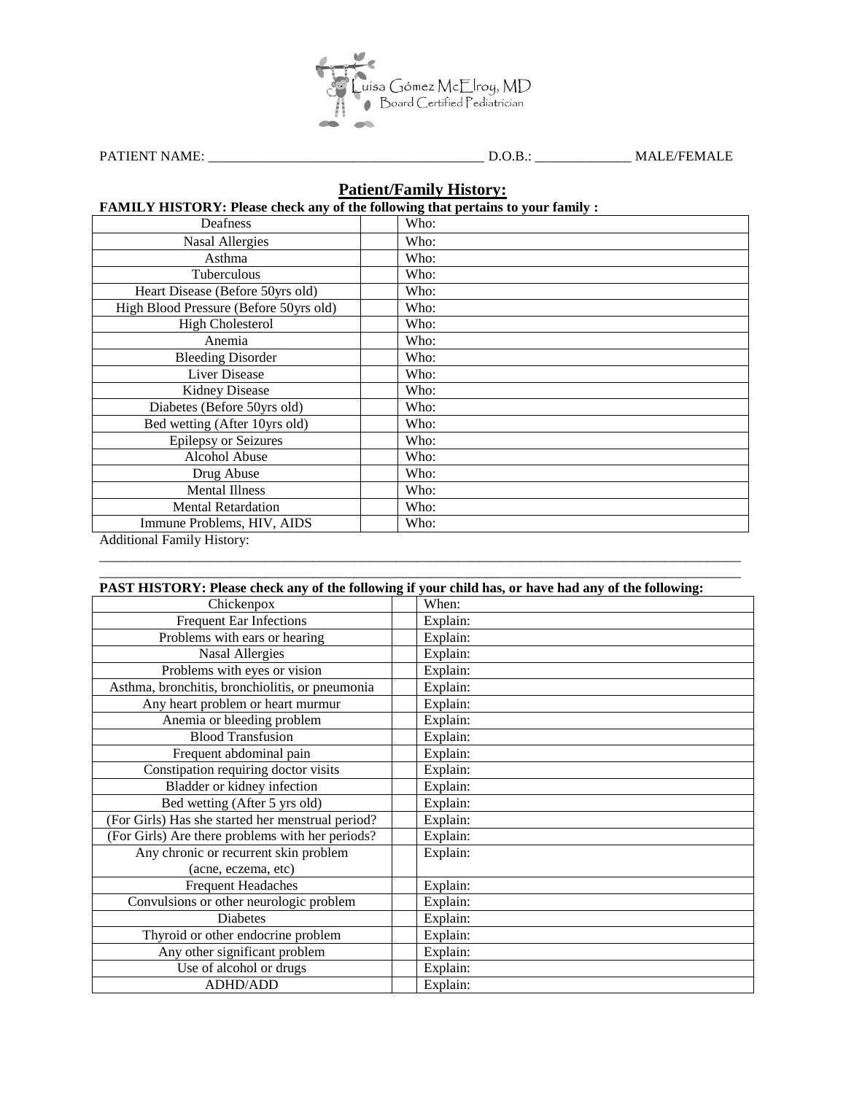

PATIENT NAME: \_\_\_\_\_\_\_\_\_\_\_\_\_\_\_\_\_\_\_\_\_\_\_\_\_\_\_\_\_\_\_\_\_\_\_\_\_\_\_\_ D.O.B.: \_\_\_\_\_\_\_\_\_\_\_\_\_\_ MALE/FEMALE

### **Patient/Family History:**

#### **FAMILY HISTORY: Please check any of the following that pertains to your family :**

| Deafness                               | Who: |
|----------------------------------------|------|
| <b>Nasal Allergies</b>                 | Who: |
| Asthma                                 | Who: |
| Tuberculous                            | Who: |
| Heart Disease (Before 50yrs old)       | Who: |
| High Blood Pressure (Before 50yrs old) | Who: |
| <b>High Cholesterol</b>                | Who: |
| Anemia                                 | Who: |
| <b>Bleeding Disorder</b>               | Who: |
| <b>Liver Disease</b>                   | Who: |
| <b>Kidney Disease</b>                  | Who: |
| Diabetes (Before 50yrs old)            | Who: |
| Bed wetting (After 10yrs old)          | Who: |
| <b>Epilepsy or Seizures</b>            | Who: |
| Alcohol Abuse                          | Who: |
| Drug Abuse                             | Who: |
| <b>Mental Illness</b>                  | Who: |
| <b>Mental Retardation</b>              | Who: |
| Immune Problems, HIV, AIDS             | Who: |
| Additional Family History:             |      |

 $\_$  ,  $\_$  ,  $\_$  ,  $\_$  ,  $\_$  ,  $\_$  ,  $\_$  ,  $\_$  ,  $\_$  ,  $\_$  ,  $\_$  ,  $\_$  ,  $\_$  ,  $\_$  ,  $\_$  ,  $\_$  ,  $\_$  ,  $\_$  ,  $\_$  ,  $\_$  ,  $\_$  ,  $\_$  ,  $\_$  ,  $\_$  ,  $\_$  ,  $\_$  ,  $\_$  ,  $\_$  ,  $\_$  ,  $\_$  ,  $\_$  ,  $\_$  ,  $\_$  ,  $\_$  ,  $\_$  ,  $\_$  ,  $\_$  ,

Additional Family History:

|                                                   | PAST HISTORY: Please check any of the following if your child has, or have had any of the following: |
|---------------------------------------------------|------------------------------------------------------------------------------------------------------|
| Chickenpox                                        | When:                                                                                                |
| <b>Frequent Ear Infections</b>                    | Explain:                                                                                             |
| Problems with ears or hearing                     | Explain:                                                                                             |
| <b>Nasal Allergies</b>                            | Explain:                                                                                             |
| Problems with eyes or vision                      | Explain:                                                                                             |
| Asthma, bronchitis, bronchiolitis, or pneumonia   | Explain:                                                                                             |
| Any heart problem or heart murmur                 | Explain:                                                                                             |
| Anemia or bleeding problem                        | Explain:                                                                                             |
| <b>Blood Transfusion</b>                          | Explain:                                                                                             |
| Frequent abdominal pain                           | Explain:                                                                                             |
| Constipation requiring doctor visits              | Explain:                                                                                             |
| Bladder or kidney infection                       | Explain:                                                                                             |
| Bed wetting (After 5 yrs old)                     | Explain:                                                                                             |
| (For Girls) Has she started her menstrual period? | Explain:                                                                                             |
| (For Girls) Are there problems with her periods?  | Explain:                                                                                             |
| Any chronic or recurrent skin problem             | Explain:                                                                                             |
| (acne, eczema, etc)                               |                                                                                                      |
| <b>Frequent Headaches</b>                         | Explain:                                                                                             |
| Convulsions or other neurologic problem           | Explain:                                                                                             |
| <b>Diabetes</b>                                   | Explain:                                                                                             |
| Thyroid or other endocrine problem                | Explain:                                                                                             |
| Any other significant problem                     | Explain:                                                                                             |
| Use of alcohol or drugs                           | Explain:                                                                                             |
| <b>ADHD/ADD</b>                                   | Explain:                                                                                             |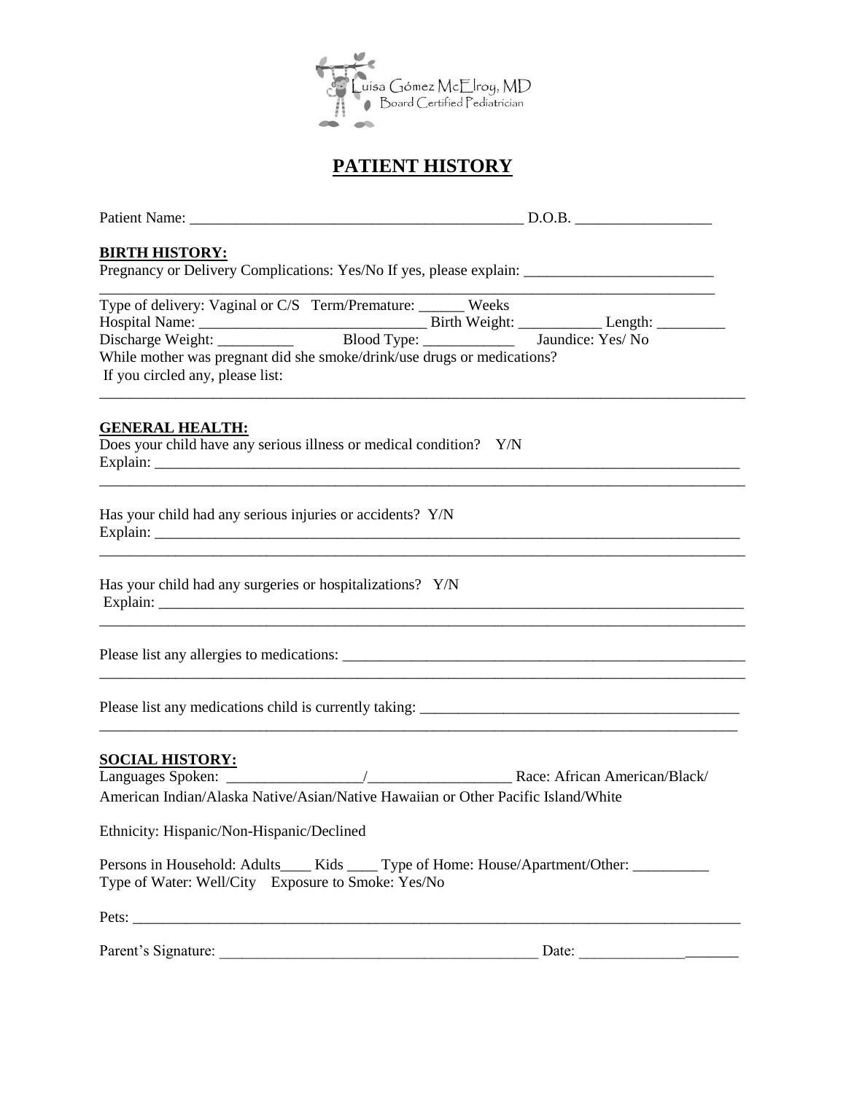

# **PATIENT HISTORY**

| <b>BIRTH HISTORY:</b><br>Pregnancy or Delivery Complications: Yes/No If yes, please explain: ________________________________                                                 |       |
|-------------------------------------------------------------------------------------------------------------------------------------------------------------------------------|-------|
| Type of delivery: Vaginal or C/S Term/Premature: _______ Weeks<br>While mother was pregnant did she smoke/drink/use drugs or medications?<br>If you circled any, please list: |       |
| <b>GENERAL HEALTH:</b><br>Does your child have any serious illness or medical condition? Y/N                                                                                  |       |
| Has your child had any serious injuries or accidents? Y/N                                                                                                                     |       |
| Has your child had any surgeries or hospitalizations? Y/N                                                                                                                     |       |
|                                                                                                                                                                               |       |
|                                                                                                                                                                               |       |
| <b>SOCIAL HISTORY:</b><br>American Indian/Alaska Native/Asian/Native Hawaiian or Other Pacific Island/White                                                                   |       |
| Ethnicity: Hispanic/Non-Hispanic/Declined                                                                                                                                     |       |
| Persons in Household: Adults______Kids______Type of Home: House/Apartment/Other:<br>Type of Water: Well/City Exposure to Smoke: Yes/No                                        |       |
|                                                                                                                                                                               |       |
| Parent's Signature:                                                                                                                                                           | Date: |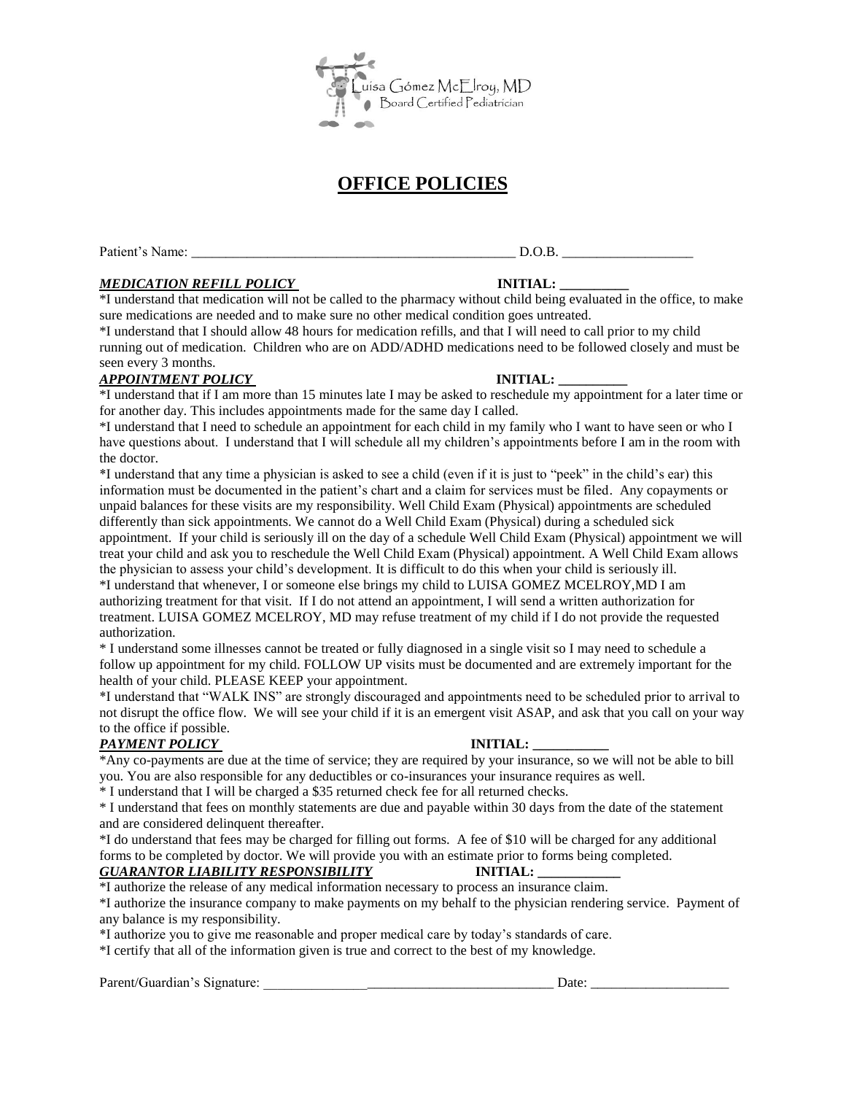

# **OFFICE POLICIES**

Patient's Name: \_\_\_\_\_\_\_\_\_\_\_\_\_\_\_\_\_\_\_\_\_\_\_\_\_\_\_\_\_\_\_\_\_\_\_\_\_\_\_\_\_\_\_\_\_\_\_ D.O.B. \_\_\_\_\_\_\_\_\_\_\_\_\_\_\_\_\_\_\_

#### *MEDICATION REFILL POLICY* **INITIAL: \_\_\_\_\_\_\_\_\_\_**

\*I understand that medication will not be called to the pharmacy without child being evaluated in the office, to make sure medications are needed and to make sure no other medical condition goes untreated.

\*I understand that I should allow 48 hours for medication refills, and that I will need to call prior to my child running out of medication. Children who are on ADD/ADHD medications need to be followed closely and must be seen every 3 months.

#### *APPOINTMENT POLICY* **INITIAL: \_\_\_\_\_\_\_\_\_\_**

\*I understand that if I am more than 15 minutes late I may be asked to reschedule my appointment for a later time or for another day. This includes appointments made for the same day I called.

\*I understand that I need to schedule an appointment for each child in my family who I want to have seen or who I have questions about. I understand that I will schedule all my children's appointments before I am in the room with the doctor.

\*I understand that any time a physician is asked to see a child (even if it is just to "peek" in the child's ear) this information must be documented in the patient's chart and a claim for services must be filed. Any copayments or unpaid balances for these visits are my responsibility. Well Child Exam (Physical) appointments are scheduled differently than sick appointments. We cannot do a Well Child Exam (Physical) during a scheduled sick appointment. If your child is seriously ill on the day of a schedule Well Child Exam (Physical) appointment we will treat your child and ask you to reschedule the Well Child Exam (Physical) appointment. A Well Child Exam allows the physician to assess your child's development. It is difficult to do this when your child is seriously ill. \*I understand that whenever, I or someone else brings my child to LUISA GOMEZ MCELROY,MD I am authorizing treatment for that visit. If I do not attend an appointment, I will send a written authorization for treatment. LUISA GOMEZ MCELROY, MD may refuse treatment of my child if I do not provide the requested authorization.

\* I understand some illnesses cannot be treated or fully diagnosed in a single visit so I may need to schedule a follow up appointment for my child. FOLLOW UP visits must be documented and are extremely important for the health of your child. PLEASE KEEP your appointment.

\*I understand that "WALK INS" are strongly discouraged and appointments need to be scheduled prior to arrival to not disrupt the office flow. We will see your child if it is an emergent visit ASAP, and ask that you call on your way to the office if possible.

#### **PAYMENT POLICY** INITIAL:

\*Any co-payments are due at the time of service; they are required by your insurance, so we will not be able to bill you. You are also responsible for any deductibles or co-insurances your insurance requires as well.

\* I understand that I will be charged a \$35 returned check fee for all returned checks.

\* I understand that fees on monthly statements are due and payable within 30 days from the date of the statement and are considered delinquent thereafter.

\*I do understand that fees may be charged for filling out forms. A fee of \$10 will be charged for any additional forms to be completed by doctor. We will provide you with an estimate prior to forms being completed.

#### *GUARANTOR LIABILITY RESPONSIBILITY* **INITIAL: \_\_\_\_\_\_\_\_\_\_\_\_**

\*I authorize the release of any medical information necessary to process an insurance claim.

\*I authorize the insurance company to make payments on my behalf to the physician rendering service. Payment of any balance is my responsibility.

\*I authorize you to give me reasonable and proper medical care by today's standards of care.

\*I certify that all of the information given is true and correct to the best of my knowledge.

#### Parent/Guardian's Signature: \_\_\_\_\_\_\_\_\_\_\_\_\_\_\_\_\_\_\_\_\_\_\_\_\_\_\_\_\_\_\_\_\_\_\_\_\_\_\_\_\_\_ Date: \_\_\_\_\_\_\_\_\_\_\_\_\_\_\_\_\_\_\_\_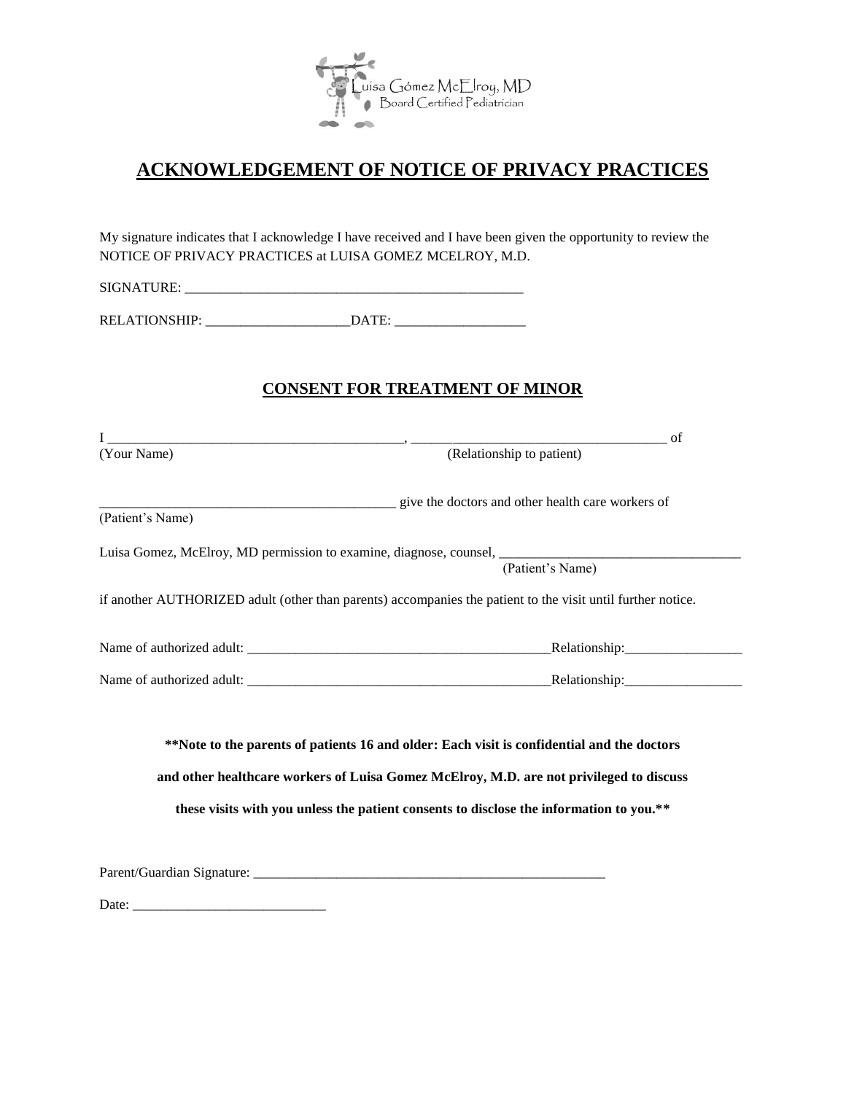

## **ACKNOWLEDGEMENT OF NOTICE OF PRIVACY PRACTICES**

My signature indicates that I acknowledge I have received and I have been given the opportunity to review the NOTICE OF PRIVACY PRACTICES at LUISA GOMEZ MCELROY, M.D.

SIGNATURE: \_\_\_\_\_\_\_\_\_\_\_\_\_\_\_\_\_\_\_\_\_\_\_\_\_\_\_\_\_\_\_\_\_\_\_\_\_\_\_\_\_\_\_\_\_\_\_\_\_

RELATIONSHIP: \_\_\_\_\_\_\_\_\_\_\_\_\_\_\_\_\_\_\_\_\_DATE: \_\_\_\_\_\_\_\_\_\_\_\_\_\_\_\_\_\_\_

#### **CONSENT FOR TREATMENT OF MINOR**

| (Your Name)                                                                                                                                                                                                                                                                      | $I_{(Your Name)}$ (Your Name) of                                                                            |  |  |
|----------------------------------------------------------------------------------------------------------------------------------------------------------------------------------------------------------------------------------------------------------------------------------|-------------------------------------------------------------------------------------------------------------|--|--|
|                                                                                                                                                                                                                                                                                  |                                                                                                             |  |  |
| (Patient's Name)                                                                                                                                                                                                                                                                 | give the doctors and other health care workers of                                                           |  |  |
|                                                                                                                                                                                                                                                                                  |                                                                                                             |  |  |
|                                                                                                                                                                                                                                                                                  | Luisa Gomez, McElroy, MD permission to examine, diagnose, counsel, _________________________________        |  |  |
|                                                                                                                                                                                                                                                                                  | (Patient's Name)                                                                                            |  |  |
|                                                                                                                                                                                                                                                                                  | if another AUTHORIZED adult (other than parents) accompanies the patient to the visit until further notice. |  |  |
|                                                                                                                                                                                                                                                                                  |                                                                                                             |  |  |
|                                                                                                                                                                                                                                                                                  |                                                                                                             |  |  |
| **Note to the parents of patients 16 and older: Each visit is confidential and the doctors<br>and other healthcare workers of Luisa Gomez McElroy, M.D. are not privileged to discuss<br>these visits with you unless the patient consents to disclose the information to you.** |                                                                                                             |  |  |
|                                                                                                                                                                                                                                                                                  |                                                                                                             |  |  |
|                                                                                                                                                                                                                                                                                  |                                                                                                             |  |  |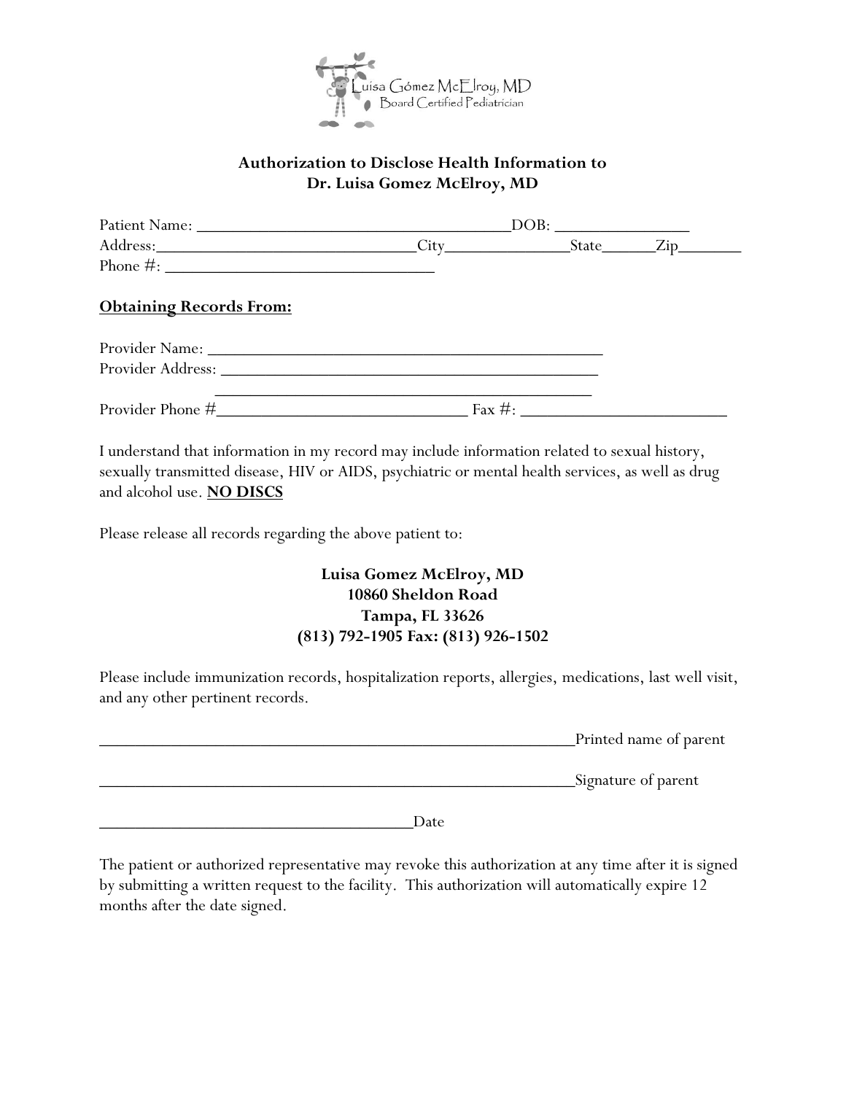

#### **Authorization to Disclose Health Information to Dr. Luisa Gomez McElroy, MD**

| <b>Obtaining Records From:</b> |  |  |  |
|--------------------------------|--|--|--|
|                                |  |  |  |
|                                |  |  |  |
|                                |  |  |  |

I understand that information in my record may include information related to sexual history, sexually transmitted disease, HIV or AIDS, psychiatric or mental health services, as well as drug and alcohol use. **NO DISCS**

Please release all records regarding the above patient to:

### **Luisa Gomez McElroy, MD 10860 Sheldon Road Tampa, FL 33626 (813) 792-1905 Fax: (813) 926-1502**

Please include immunization records, hospitalization reports, allergies, medications, last well visit, and any other pertinent records.

| Printed name of parent |
|------------------------|
|                        |

\_\_\_\_\_\_\_\_\_\_\_\_\_\_\_\_\_\_\_\_\_\_\_\_\_\_\_\_\_\_\_\_\_\_\_\_\_\_\_\_\_\_\_\_\_\_\_\_\_\_\_\_\_Signature of parent

\_\_\_\_\_\_\_\_\_\_\_\_\_\_\_\_\_\_\_\_\_\_\_\_\_\_\_\_\_\_\_\_\_\_\_Date

The patient or authorized representative may revoke this authorization at any time after it is signed by submitting a written request to the facility. This authorization will automatically expire 12 months after the date signed.